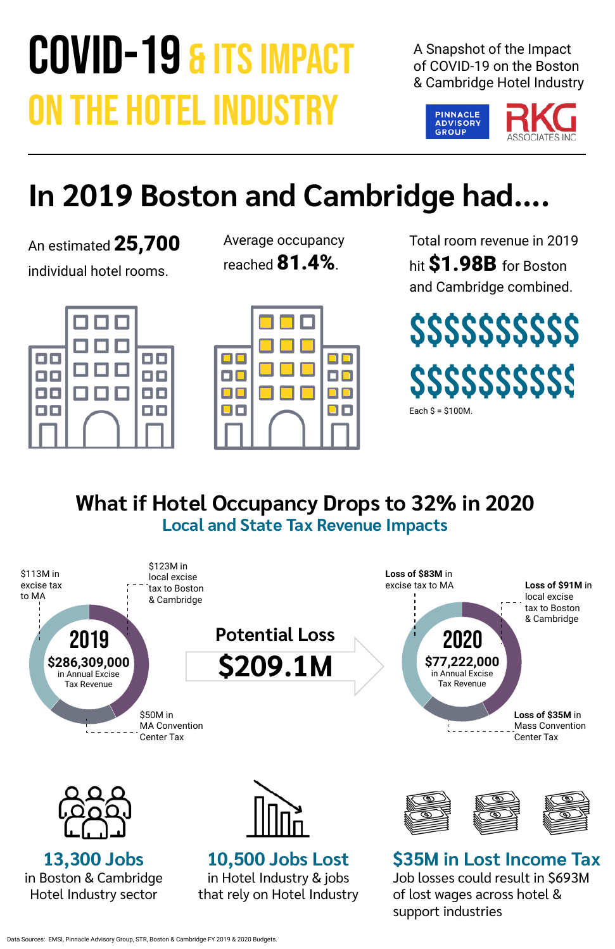# COVID-19 & ITS IMPACT ON THE HOTEL INDUSTRY

A Snapshot of the Impact of COVID-19 on the Boston & Cambridge Hotel Industry

An estimated 25,700 individual hotel rooms.



| Average occupancy      |  |  |  |  |  |
|------------------------|--|--|--|--|--|
| reached <b>81.4%</b> . |  |  |  |  |  |





Total room revenue in 2019 hit \$1.98B for Boston and Cambridge combined.

## **In 2019 Boston and Cambridge had....**



#### **What if Hotel Occupancy Drops to 32% in 2020 Local and State Tax Revenue Impacts**









**13,300 Jobs** in Boston & Cambridge Hotel Industry sector

### **10,500 Jobs Lost**

in Hotel Industry & jobs that rely on Hotel Industry



**\$35M in Lost Income Tax** Job losses could result in \$693M of lost wages across hotel & support industries

Data Sources: EMSI, Pinnacle Advisory Group, STR, Boston & Cambridge FY 2019 & 2020 Budgets.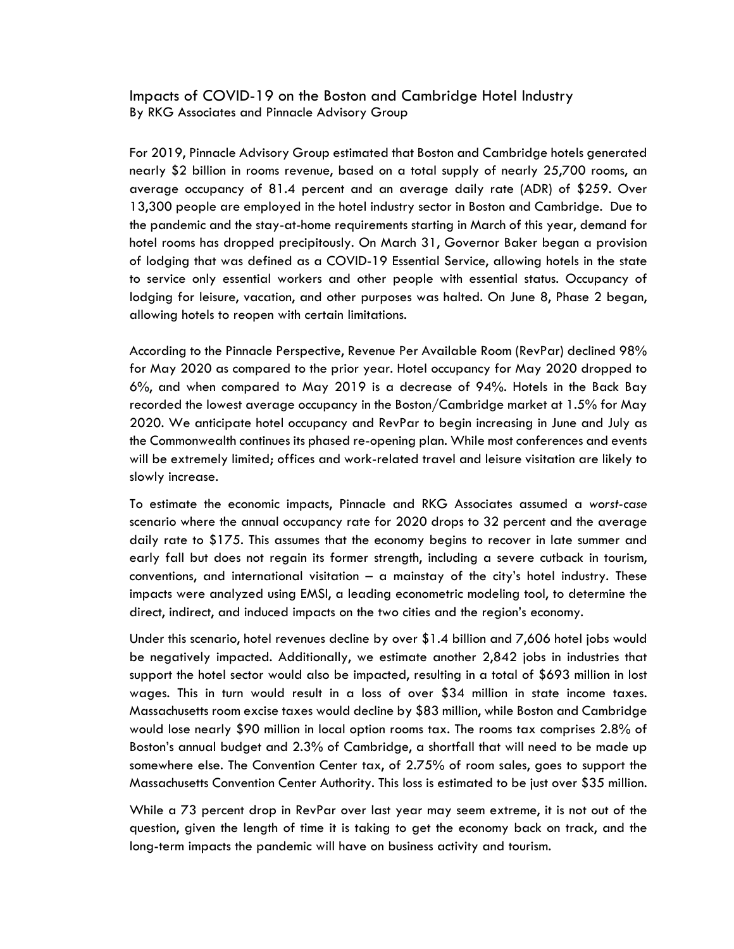Impacts of COVID-19 on the Boston and Cambridge Hotel Industry By RKG Associates and Pinnacle Advisory Group

For 2019, Pinnacle Advisory Group estimated that Boston and Cambridge hotels generated nearly \$2 billion in rooms revenue, based on a total supply of nearly 25,700 rooms, an average occupancy of 81.4 percent and an average daily rate (ADR) of \$259. Over 13,300 people are employed in the hotel industry sector in Boston and Cambridge. Due to the pandemic and the stay-at-home requirements starting in March of this year, demand for hotel rooms has dropped precipitously. On March 31, Governor Baker began a provision of lodging that was defined as a COVID-19 Essential Service, allowing hotels in the state to service only essential workers and other people with essential status. Occupancy of lodging for leisure, vacation, and other purposes was halted. On June 8, Phase 2 began, allowing hotels to reopen with certain limitations.

According to the Pinnacle Perspective, Revenue Per Available Room (RevPar) declined 98% for May 2020 as compared to the prior year. Hotel occupancy for May 2020 dropped to 6%, and when compared to May 2019 is a decrease of 94%. Hotels in the Back Bay recorded the lowest average occupancy in the Boston/Cambridge market at 1.5% for May 2020. We anticipate hotel occupancy and RevPar to begin increasing in June and July as the Commonwealth continues its phased re-opening plan. While most conferences and events will be extremely limited; offices and work-related travel and leisure visitation are likely to slowly increase.

To estimate the economic impacts, Pinnacle and RKG Associates assumed a *worst-case* scenario where the annual occupancy rate for 2020 drops to 32 percent and the average daily rate to \$175. This assumes that the economy begins to recover in late summer and early fall but does not regain its former strength, including a severe cutback in tourism, conventions, and international visitation – a mainstay of the city's hotel industry. These impacts were analyzed using EMSI, a leading econometric modeling tool, to determine the direct, indirect, and induced impacts on the two cities and the region's economy.

Under this scenario, hotel revenues decline by over \$1.4 billion and 7,606 hotel jobs would be negatively impacted. Additionally, we estimate another 2,842 jobs in industries that support the hotel sector would also be impacted, resulting in a total of \$693 million in lost wages. This in turn would result in a loss of over \$34 million in state income taxes. Massachusetts room excise taxes would decline by \$83 million, while Boston and Cambridge would lose nearly \$90 million in local option rooms tax. The rooms tax comprises 2.8% of Boston's annual budget and 2.3% of Cambridge, a shortfall that will need to be made up somewhere else. The Convention Center tax, of 2.75% of room sales, goes to support the Massachusetts Convention Center Authority. This loss is estimated to be just over \$35 million.

While a 73 percent drop in RevPar over last year may seem extreme, it is not out of the question, given the length of time it is taking to get the economy back on track, and the long-term impacts the pandemic will have on business activity and tourism.